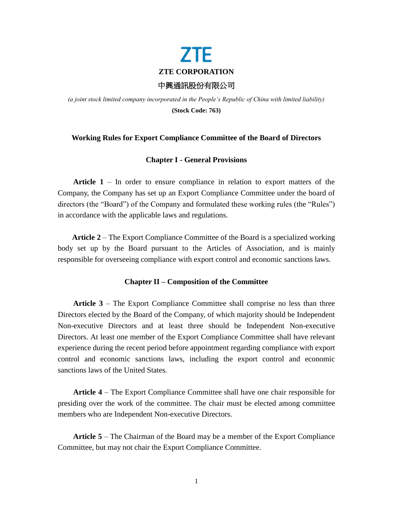

*(a joint stock limited company incorporated in the People's Republic of China with limited liability)* **(Stock Code: 763)**

# **Working Rules for Export Compliance Committee of the Board of Directors**

### **Chapter I - General Provisions**

**Article 1** – In order to ensure compliance in relation to export matters of the Company, the Company has set up an Export Compliance Committee under the board of directors (the "Board") of the Company and formulated these working rules (the "Rules") in accordance with the applicable laws and regulations.

**Article 2** – The Export Compliance Committee of the Board is a specialized working body set up by the Board pursuant to the Articles of Association, and is mainly responsible for overseeing compliance with export control and economic sanctions laws.

### **Chapter II – Composition of the Committee**

**Article 3** – The Export Compliance Committee shall comprise no less than three Directors elected by the Board of the Company, of which majority should be Independent Non-executive Directors and at least three should be Independent Non-executive Directors. At least one member of the Export Compliance Committee shall have relevant experience during the recent period before appointment regarding compliance with export control and economic sanctions laws, including the export control and economic sanctions laws of the United States.

**Article 4** – The Export Compliance Committee shall have one chair responsible for presiding over the work of the committee. The chair must be elected among committee members who are Independent Non-executive Directors.

**Article 5** – The Chairman of the Board may be a member of the Export Compliance Committee, but may not chair the Export Compliance Committee.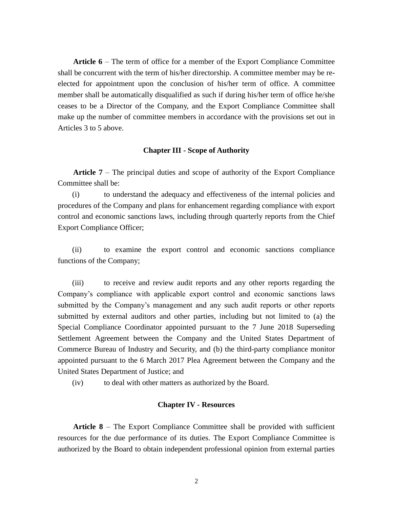**Article 6** – The term of office for a member of the Export Compliance Committee shall be concurrent with the term of his/her directorship. A committee member may be reelected for appointment upon the conclusion of his/her term of office. A committee member shall be automatically disqualified as such if during his/her term of office he/she ceases to be a Director of the Company, and the Export Compliance Committee shall make up the number of committee members in accordance with the provisions set out in Articles 3 to 5 above.

#### **Chapter III - Scope of Authority**

**Article 7** – The principal duties and scope of authority of the Export Compliance Committee shall be:

(i) to understand the adequacy and effectiveness of the internal policies and procedures of the Company and plans for enhancement regarding compliance with export control and economic sanctions laws, including through quarterly reports from the Chief Export Compliance Officer;

(ii) to examine the export control and economic sanctions compliance functions of the Company;

(iii) to receive and review audit reports and any other reports regarding the Company's compliance with applicable export control and economic sanctions laws submitted by the Company's management and any such audit reports or other reports submitted by external auditors and other parties, including but not limited to (a) the Special Compliance Coordinator appointed pursuant to the 7 June 2018 Superseding Settlement Agreement between the Company and the United States Department of Commerce Bureau of Industry and Security, and (b) the third-party compliance monitor appointed pursuant to the 6 March 2017 Plea Agreement between the Company and the United States Department of Justice; and

(iv) to deal with other matters as authorized by the Board.

### **Chapter IV - Resources**

**Article 8** – The Export Compliance Committee shall be provided with sufficient resources for the due performance of its duties. The Export Compliance Committee is authorized by the Board to obtain independent professional opinion from external parties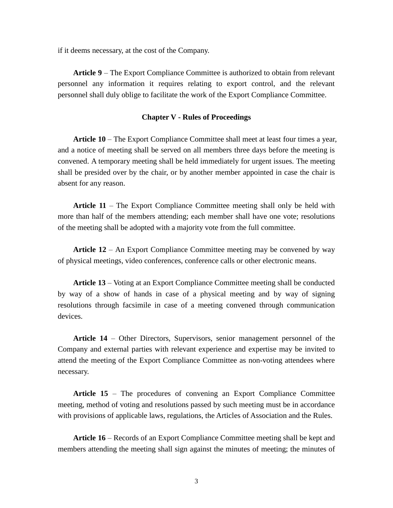if it deems necessary, at the cost of the Company.

**Article 9** – The Export Compliance Committee is authorized to obtain from relevant personnel any information it requires relating to export control, and the relevant personnel shall duly oblige to facilitate the work of the Export Compliance Committee.

### **Chapter V - Rules of Proceedings**

**Article 10** – The Export Compliance Committee shall meet at least four times a year, and a notice of meeting shall be served on all members three days before the meeting is convened. A temporary meeting shall be held immediately for urgent issues. The meeting shall be presided over by the chair, or by another member appointed in case the chair is absent for any reason.

**Article 11** – The Export Compliance Committee meeting shall only be held with more than half of the members attending; each member shall have one vote; resolutions of the meeting shall be adopted with a majority vote from the full committee.

**Article 12** – An Export Compliance Committee meeting may be convened by way of physical meetings, video conferences, conference calls or other electronic means.

**Article 13** – Voting at an Export Compliance Committee meeting shall be conducted by way of a show of hands in case of a physical meeting and by way of signing resolutions through facsimile in case of a meeting convened through communication devices.

**Article 14** – Other Directors, Supervisors, senior management personnel of the Company and external parties with relevant experience and expertise may be invited to attend the meeting of the Export Compliance Committee as non-voting attendees where necessary.

**Article 15** – The procedures of convening an Export Compliance Committee meeting, method of voting and resolutions passed by such meeting must be in accordance with provisions of applicable laws, regulations, the Articles of Association and the Rules.

**Article 16** – Records of an Export Compliance Committee meeting shall be kept and members attending the meeting shall sign against the minutes of meeting; the minutes of